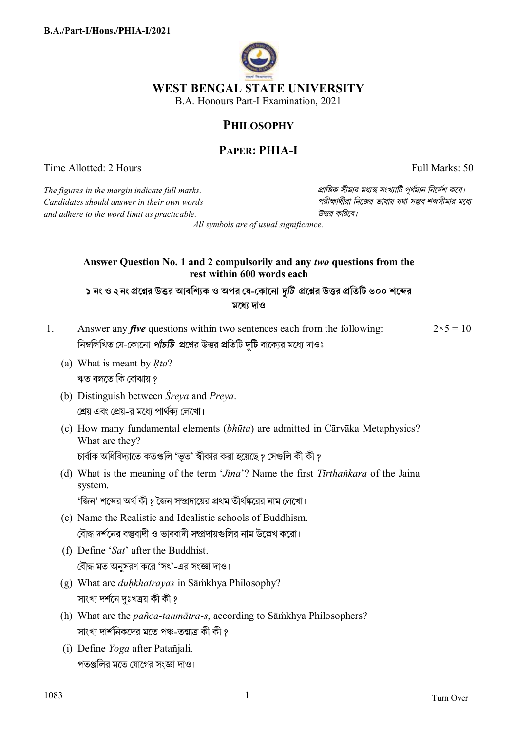

## **PHILOSOPHY**

# **PAPER: PHIA-I**

Time Allotted: 2 Hours Full Marks: 50

*The figures in the margin indicate full marks. pািnক সীমার মধ°s সংখ°ািট পূণমান িনেদশ কের। Candidates should answer in their own words পরীkাথীরা িনেজর ভাষায় যথা সmব শbসীমার মেধ° and adhere to the word limit as practicable. উtর কিরেব।*

*All symbols are of usual significance.*

### **Answer Question No. 1 and 2 compulsorily and any** *two* **questions from the rest within 600 words each**

১ নং ও ২ নং প্রশ্নের উত্তর আবশ্যিক ও অপর যে-কোনো *দুটি প্র*শ্নের উত্তর প্রতিটি ৬০০ শব্দের **মেধ° দাও**

- 1. Answer any *five* questions within two sentences each from the following: নিম্নলিখিত যে-কোনো *পাঁচটি* প্রশ্নের উত্তর প্রতিটি দুটি বাক্যের মধ্যে দাওঃ  $2 \times 5 = 10$ 
	- (a) What is meant by *Ṛta*? ঋত বলতে কি বোঝায় ?
	- (b) Distinguish between *Śreya* and *Preya*. শ্রেয় এবং প্রেয়-র মধ্যে পার্থক্য লেখাে।
	- (c) How many fundamental elements (*bhūta*) are admitted in Cārvāka Metaphysics? What are they? চার্বাক অধিবিদ্যাতে কতগুলি 'ভূত' স্বীকার করা হয়েছে ? সেগুলি কী কী ?
	- (d) What is the meaning of the term '*Jina*'? Name the first *Tīrthaṅkara* of the Jaina system. 'জিন' শব্দের অর্থ কী ? জৈন সম্প্রদায়ের প্রথম তীর্থঙ্করের নাম লেখো।
	- (e) Name the Realistic and Idealistic schools of Buddhism. বৌদ্ধ দর্শনের বস্তুবাদী ও ভাববাদী সম্প্রদায়গুলির নাম উল্লেখ করো।
	- (f) Define '*Sat*' after the Buddhist. বৌদ্ধ মত অনুসরণ করে 'সৎ'-এর সংজ্ঞা দাও।
	- (g) What are *duḥkhatrayas* in Sāṁkhya Philosophy? সাংখ্য দৰ্শনে দঃখত্ৰয় কী কী ?
	- (h) What are the *pañca-tanmātra-s*, according to Sāṁkhya Philosophers? সাংখ্য দার্শনিকদের মতে পঞ্চ-তন্মাত্র কী কী ?
	- (i) Define *Yoga* after Patañjali. পতঞ্জলির মতে যোগের সংজ্ঞা দাও।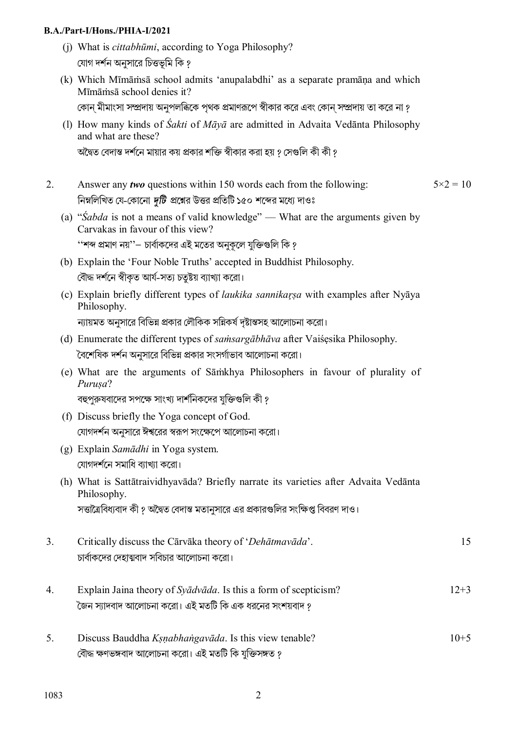### **B.A./Part-I/Hons./PHIA-I/2021**

- (j) What is *cittabhūmi*, according to Yoga Philosophy? যোগ দর্শন অনসারে চিত্তভমি কি ?
- (k) Which Mīmāṁsā school admits 'anupalabdhi' as a separate pramāṇa and which Mīmāṁsā school denies it? কোন মীমাংসা সম্প্রদায় অনুপলব্ধিকে পৃথক প্রমাণরূপে স্বীকার করে এবং কোন সম্প্রদায় তা করে না ?
- (l) How many kinds of *Śakti* of *Māyā* are admitted in Advaita Vedānta Philosophy and what are these?

অদ্বৈত বেদান্ত দর্শনে মায়ার কয় প্রকার শক্তি স্বীকার করা হয় ? সেগুলি কী কী ?

- 2. Answer any *two* questions within 150 words each from the following: নিম্নলিখিত যে-কোনো *দুটি প্র*শ্নের উত্তর প্রতিটি ১৫০ শব্দের মধ্যে দাওঃ  $5 \times 2 = 10$ 
	- (a) "*Śabda* is not a means of valid knowledge" What are the arguments given by Carvakas in favour of this view?

''শব্দ প্রমাণ নয়''— চার্বাকদের এই মতের অনুকলে যুক্তিগুলি কি ?

- (b) Explain the 'Four Noble Truths' accepted in Buddhist Philosophy. বৌদ্ধ দর্শনে স্বীকত আর্য-সতা চতষ্টয় ব্যাখ্যা করো।
- (c) Explain briefly different types of *laukika sannikaŗṣa* with examples after Nyāya Philosophy. ন্যায়মত অনসারে বিভিন্ন প্রকার লৌকিক সন্নিকর্ষ দষ্টান্তসহ আলোচনা করো।
- (d) Enumerate the different types of *saṁsargābhāva* after Vaiśẹsika Philosophy. বৈশেষিক দর্শন অনুসারে বিভিন্ন প্রকার সংসর্গাভাব আলোচনা করো।
- (e) What are the arguments of Sāṁkhya Philosophers in favour of plurality of *Puruṣa*?

বহুপুরুষবাদের সপক্ষে সাংখ্য দার্শনিকদের যুক্তিগুলি কী ?

- (f) Discuss briefly the Yoga concept of God. যোগদর্শন অনুসারে ঈশ্বরের স্বরূপ সংক্ষেপে আলোচনা করো।
- (g) Explain *Samādhi* in Yoga system. যোগদর্শনে সমাধি ব্যাখ্যা করো।
- (h) What is Sattātraividhyavāda? Briefly narrate its varieties after Advaita Vedānta Philosophy. সত্তাত্রৈবিধ্যবাদ কী ? অদ্বৈত বেদান্ত মতানুসারে এর প্রকারগুলির সংক্ষিপ্ত বিবরণ দাও।
- 3. Critically discuss the Cārvāka theory of '*Dehātmavāda*'. চার্বাকদের দেহাত্মবাদ সবিচার আলোচনা করো। 15
- 4. Explain Jaina theory of *Syādvāda*. Is this a form of scepticism? `জেন স্যাদবাদ আলোচনা করো। এই মতটি কি এক ধরনের সংশয়বাদ *গ* 12+3
- 5. Discuss Bauddha *Kṣṇabhaṅgavāda*. Is this view tenable? বৌদ্ধ ক্ষণভঙ্গবাদ আলোচনা করো। এই মতটি কি যুক্তিসঙ্গত ?  $10+5$